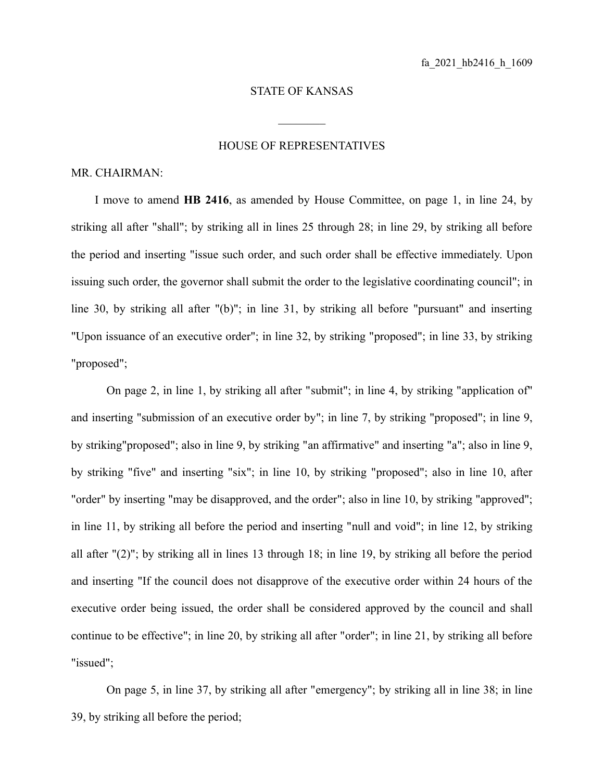## STATE OF KANSAS

 $\mathcal{L}_\text{max}$ 

## HOUSE OF REPRESENTATIVES

## MR. CHAIRMAN:

I move to amend **HB 2416**, as amended by House Committee, on page 1, in line 24, by striking all after "shall"; by striking all in lines 25 through 28; in line 29, by striking all before the period and inserting "issue such order, and such order shall be effective immediately. Upon issuing such order, the governor shall submit the order to the legislative coordinating council"; in line 30, by striking all after "(b)"; in line 31, by striking all before "pursuant" and inserting "Upon issuance of an executive order"; in line 32, by striking "proposed"; in line 33, by striking "proposed";

On page 2, in line 1, by striking all after "submit"; in line 4, by striking "application of" and inserting "submission of an executive order by"; in line 7, by striking "proposed"; in line 9, by striking"proposed"; also in line 9, by striking "an affirmative" and inserting "a"; also in line 9, by striking "five" and inserting "six"; in line 10, by striking "proposed"; also in line 10, after "order" by inserting "may be disapproved, and the order"; also in line 10, by striking "approved"; in line 11, by striking all before the period and inserting "null and void"; in line 12, by striking all after "(2)"; by striking all in lines 13 through 18; in line 19, by striking all before the period and inserting "If the council does not disapprove of the executive order within 24 hours of the executive order being issued, the order shall be considered approved by the council and shall continue to be effective"; in line 20, by striking all after "order"; in line 21, by striking all before "issued";

On page 5, in line 37, by striking all after "emergency"; by striking all in line 38; in line 39, by striking all before the period;